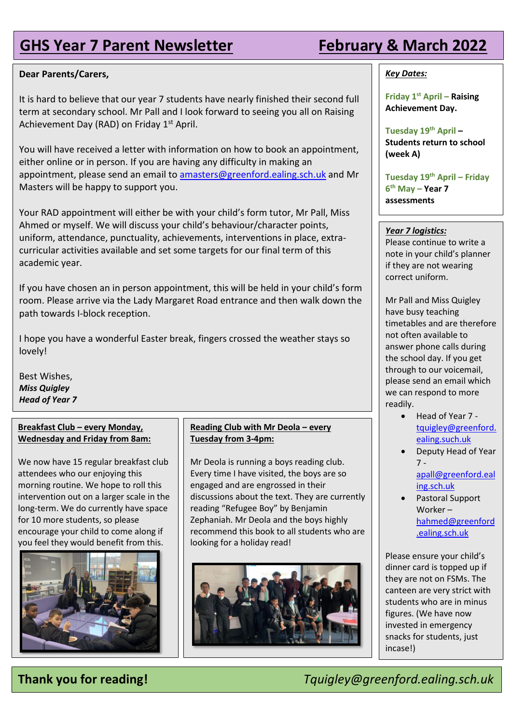# **GHS Year 7 Parent Newsletter February & March 2022**

## **Dear Parents/Carers,**

It is hard to believe that our year 7 students have nearly finished their second full term at secondary school. Mr Pall and I look forward to seeing you all on Raising Achievement Day (RAD) on Friday 1<sup>st</sup> April.

You will have received a letter with information on how to book an appointment, either online or in person. If you are having any difficulty in making an appointment, please send an email to [amasters@greenford.ealing.sch.uk](mailto:amasters@greenford.ealing.sch.uk) and Mr Masters will be happy to support you.

Your RAD appointment will either be with your child's form tutor, Mr Pall, Miss Ahmed or myself. We will discuss your child's behaviour/character points, uniform, attendance, punctuality, achievements, interventions in place, extracurricular activities available and set some targets for our final term of this academic year.

If you have chosen an in person appointment, this will be held in your child's form room. Please arrive via the Lady Margaret Road entrance and then walk down the path towards I-block reception.

I hope you have a wonderful Easter break, fingers crossed the weather stays so lovely!

Best Wishes, *Miss Quigley Head of Year 7*

## **Breakfast Club – every Monday, Wednesday and Friday from 8am:**

We now have 15 regular breakfast club attendees who our enjoying this morning routine. We hope to roll this intervention out on a larger scale in the long-term. We do currently have space for 10 more students, so please encourage your child to come along if you feel they would benefit from this.



## **Reading Club with Mr Deola - every Tuesday from 3-4pm:**

Mr Deola is running a boys reading club. Every time I have visited, the boys are so engaged and are engrossed in their discussions about the text. They are currently reading "Refugee Boy" by Benjamin Zephaniah. Mr Deola and the boys highly recommend this book to all students who are looking for a holiday read!



## *Key Dates:*

**Friday 1st April – Raising Achievement Day.**

**Tuesday 19th April – Students return to school (week A)**

**Tuesday 19th April – Friday 6 th May – Year 7 assessments** 

## *Year 7 logistics:*

Please continue to write a note in your child's planner if they are not wearing correct uniform.

Mr Pall and Miss Quigley have busy teaching timetables and are therefore not often available to answer phone calls during the school day. If you get through to our voicemail, please send an email which we can respond to more readily.

- Head of Year 7 [tquigley@greenford.](mailto:tquigley@greenford.ealing.such.uk) [ealing.such.uk](mailto:tquigley@greenford.ealing.such.uk)
- Deputy Head of Year 7 [apall@greenford.eal](mailto:apall@greenford.ealing.sch.uk) [ing.sch.uk](mailto:apall@greenford.ealing.sch.uk)
- Pastoral Support Worker – [hahmed@greenford](mailto:hahmed@greenford.ealing.sch.uk) [.ealing.sch.uk](mailto:hahmed@greenford.ealing.sch.uk)

Please ensure your child's dinner card is topped up if they are not on FSMs. The canteen are very strict with students who are in minus figures. (We have now invested in emergency snacks for students, just incase!)

**Thank you for reading!** *Tquigley@greenford.ealing.sch.uk*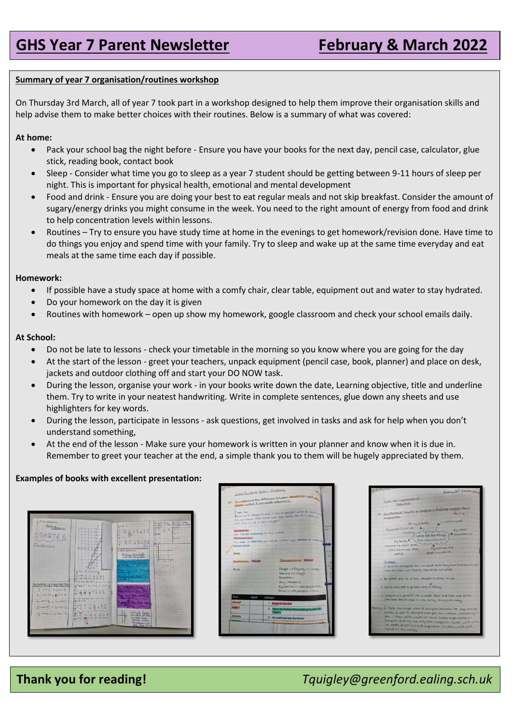## **Summary of year 7 organisation/routines workshop**

On Thursday 3rd March, all of year 7 took part in a workshop designed to help them improve their organisation skills and help advise them to make better choices with their routines. Below is a summary of what was covered:

## **At home:**

- Pack your school bag the night before Ensure you have your books for the next day, pencil case, calculator, glue stick, reading book, contact book
- Sleep Consider what time you go to sleep as a year 7 student should be getting between 9-11 hours of sleep per night. This is important for physical health, emotional and mental development
- Food and drink Ensure you are doing your best to eat regular meals and not skip breakfast. Consider the amount of sugary/energy drinks you might consume in the week. You need to the right amount of energy from food and drink to help concentration levels within lessons.
- Routines Try to ensure you have study time at home in the evenings to get homework/revision done. Have time to do things you enjoy and spend time with your family. Try to sleep and wake up at the same time everyday and eat meals at the same time each day if possible.

## **Homework:**

- If possible have a study space at home with a comfy chair, clear table, equipment out and water to stay hydrated.
- Do your homework on the day it is given
- Routines with homework open up show my homework, google classroom and check your school emails daily.

## **At School:**

- Do not be late to lessons check your timetable in the morning so you know where you are going for the day
- At the start of the lesson greet your teachers, unpack equipment (pencil case, book, planner) and place on desk, jackets and outdoor clothing off and start your DO NOW task.
- During the lesson, organise your work in your books write down the date, Learning objective, title and underline them. Try to write in your neatest handwriting. Write in complete sentences, glue down any sheets and use highlighters for key words.
- During the lesson, participate in lessons ask questions, get involved in tasks and ask for help when you don't understand something,
- At the end of the lesson Make sure your homework is written in your planner and know when it is due in. Remember to greet your teacher at the end, a simple thank you to them will be hugely appreciated by them.

## **Examples of books with excellent presentation:**







## **Thank you for reading!** *Tquigley@greenford.ealing.sch.uk*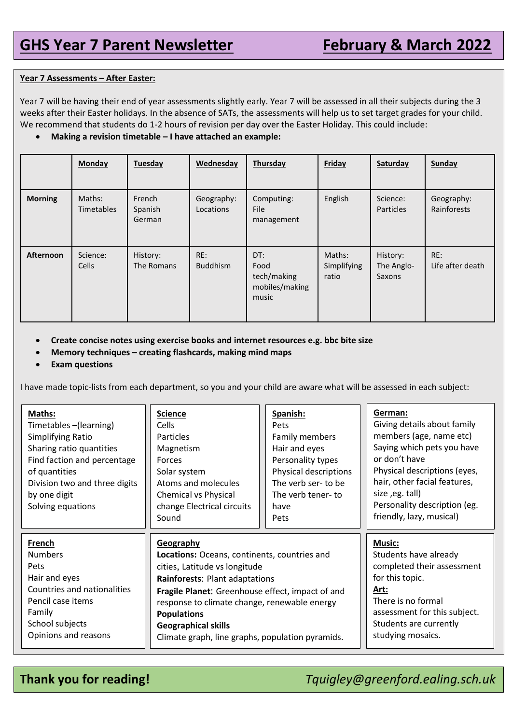## **Year 7 Assessments – After Easter:**

Year 7 will be having their end of year assessments slightly early. Year 7 will be assessed in all their subjects during the 3 weeks after their Easter holidays. In the absence of SATs, the assessments will help us to set target grades for your child. We recommend that students do 1-2 hours of revision per day over the Easter Holiday. This could include:

• **Making a revision timetable – I have attached an example:**

|                  | <b>Monday</b>               | Tuesday                     | Wednesday               | Thursday                                              | Friday                         | Saturday                         | Sunday                    |
|------------------|-----------------------------|-----------------------------|-------------------------|-------------------------------------------------------|--------------------------------|----------------------------------|---------------------------|
| <b>Morning</b>   | Maths:<br><b>Timetables</b> | French<br>Spanish<br>German | Geography:<br>Locations | Computing:<br><b>File</b><br>management               | English                        | Science:<br><b>Particles</b>     | Geography:<br>Rainforests |
| <b>Afternoon</b> | Science:<br>Cells           | History:<br>The Romans      | RE:<br><b>Buddhism</b>  | DT:<br>Food<br>tech/making<br>mobiles/making<br>music | Maths:<br>Simplifying<br>ratio | History:<br>The Anglo-<br>Saxons | RE:<br>Life after death   |

- **Create concise notes using exercise books and internet resources e.g. bbc bite size**
- **Memory techniques – creating flashcards, making mind maps**
- **Exam questions**

I have made topic-lists from each department, so you and your child are aware what will be assessed in each subject:

| Maths:<br>Timetables-(learning)<br>Simplifying Ratio<br>Sharing ratio quantities<br>Find faction and percentage<br>of quantities<br>Division two and three digits<br>by one digit<br>Solving equations | <b>Science</b><br><b>Cells</b><br><b>Particles</b><br>Magnetism<br>Forces<br>Solar system<br>Atoms and molecules<br><b>Chemical vs Physical</b><br>change Electrical circuits<br>Sound | Spanish:<br>Pets<br>Family members<br>Hair and eyes<br>Personality types<br>Physical descriptions<br>The verb ser- to be<br>The verb tener-to<br>have<br>Pets | German:<br>Giving details about family<br>members (age, name etc)<br>Saying which pets you have<br>or don't have<br>Physical descriptions (eyes,<br>hair, other facial features,<br>size, eg. tall)<br>Personality description (eg.<br>friendly, lazy, musical) |
|--------------------------------------------------------------------------------------------------------------------------------------------------------------------------------------------------------|----------------------------------------------------------------------------------------------------------------------------------------------------------------------------------------|---------------------------------------------------------------------------------------------------------------------------------------------------------------|-----------------------------------------------------------------------------------------------------------------------------------------------------------------------------------------------------------------------------------------------------------------|
| French                                                                                                                                                                                                 | <b>Geography</b>                                                                                                                                                                       | <b>Music:</b>                                                                                                                                                 |                                                                                                                                                                                                                                                                 |
| <b>Numbers</b>                                                                                                                                                                                         | Locations: Oceans, continents, countries and                                                                                                                                           | Students have already                                                                                                                                         |                                                                                                                                                                                                                                                                 |
| Pets                                                                                                                                                                                                   | cities, Latitude vs longitude                                                                                                                                                          | completed their assessment                                                                                                                                    |                                                                                                                                                                                                                                                                 |
| Hair and eyes                                                                                                                                                                                          | Rainforests: Plant adaptations                                                                                                                                                         | for this topic.                                                                                                                                               |                                                                                                                                                                                                                                                                 |
| Countries and nationalities                                                                                                                                                                            | Fragile Planet: Greenhouse effect, impact of and                                                                                                                                       | Art:                                                                                                                                                          |                                                                                                                                                                                                                                                                 |
| Pencil case items                                                                                                                                                                                      | response to climate change, renewable energy                                                                                                                                           | There is no formal                                                                                                                                            |                                                                                                                                                                                                                                                                 |
| Family                                                                                                                                                                                                 | <b>Populations</b>                                                                                                                                                                     | assessment for this subject.                                                                                                                                  |                                                                                                                                                                                                                                                                 |
| School subjects                                                                                                                                                                                        | <b>Geographical skills</b>                                                                                                                                                             | Students are currently                                                                                                                                        |                                                                                                                                                                                                                                                                 |
| Opinions and reasons                                                                                                                                                                                   | Climate graph, line graphs, population pyramids.                                                                                                                                       | studying mosaics.                                                                                                                                             |                                                                                                                                                                                                                                                                 |